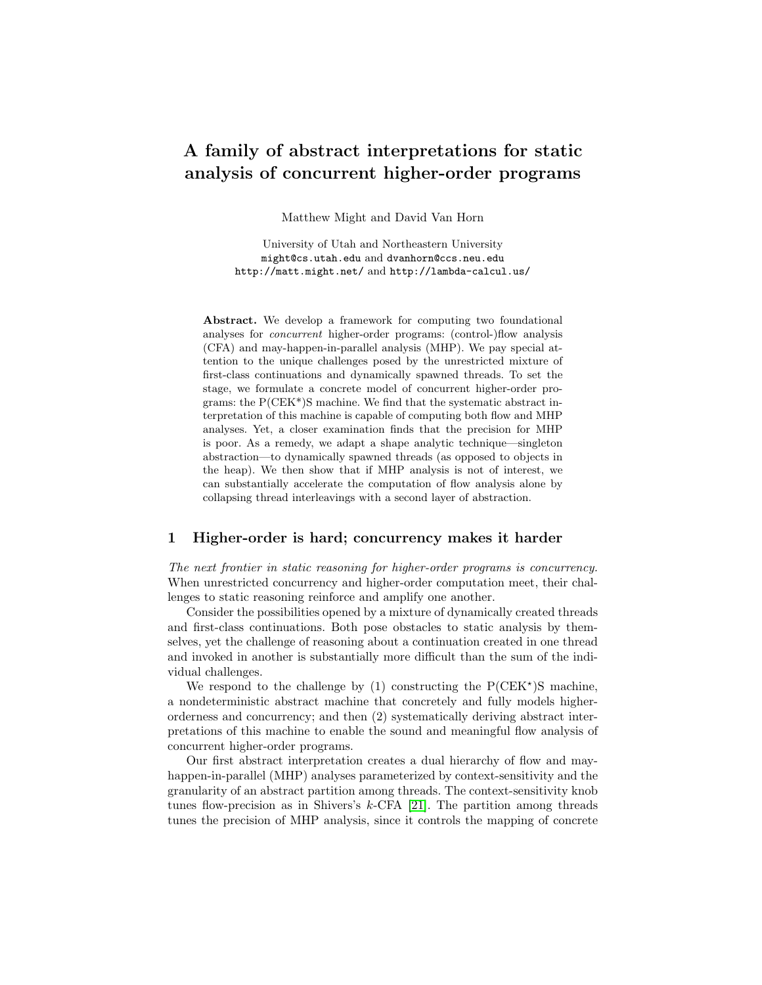# A family of abstract interpretations for static analysis of concurrent higher-order programs

Matthew Might and David Van Horn

University of Utah and Northeastern University might@cs.utah.edu and dvanhorn@ccs.neu.edu http://matt.might.net/ and http://lambda-calcul.us/

Abstract. We develop a framework for computing two foundational analyses for concurrent higher-order programs: (control-)flow analysis (CFA) and may-happen-in-parallel analysis (MHP). We pay special attention to the unique challenges posed by the unrestricted mixture of first-class continuations and dynamically spawned threads. To set the stage, we formulate a concrete model of concurrent higher-order programs: the P(CEK\*)S machine. We find that the systematic abstract interpretation of this machine is capable of computing both flow and MHP analyses. Yet, a closer examination finds that the precision for MHP is poor. As a remedy, we adapt a shape analytic technique—singleton abstraction—to dynamically spawned threads (as opposed to objects in the heap). We then show that if MHP analysis is not of interest, we can substantially accelerate the computation of flow analysis alone by collapsing thread interleavings with a second layer of abstraction.

## 1 Higher-order is hard; concurrency makes it harder

The next frontier in static reasoning for higher-order programs is concurrency. When unrestricted concurrency and higher-order computation meet, their challenges to static reasoning reinforce and amplify one another.

Consider the possibilities opened by a mixture of dynamically created threads and first-class continuations. Both pose obstacles to static analysis by themselves, yet the challenge of reasoning about a continuation created in one thread and invoked in another is substantially more difficult than the sum of the individual challenges.

We respond to the challenge by  $(1)$  constructing the  $P(\text{CEK*})$ S machine, a nondeterministic abstract machine that concretely and fully models higherorderness and concurrency; and then (2) systematically deriving abstract interpretations of this machine to enable the sound and meaningful flow analysis of concurrent higher-order programs.

Our first abstract interpretation creates a dual hierarchy of flow and mayhappen-in-parallel (MHP) analyses parameterized by context-sensitivity and the granularity of an abstract partition among threads. The context-sensitivity knob tunes flow-precision as in Shivers's  $k$ -CFA [\[21\]](#page-16-0). The partition among threads tunes the precision of MHP analysis, since it controls the mapping of concrete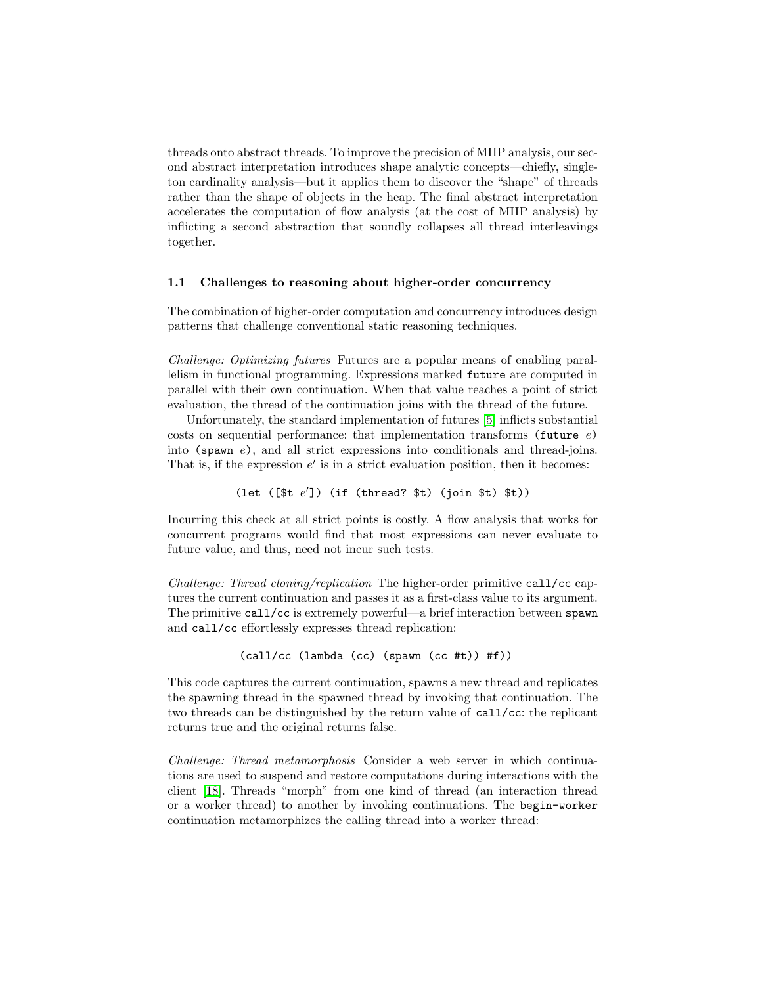threads onto abstract threads. To improve the precision of MHP analysis, our second abstract interpretation introduces shape analytic concepts—chiefly, singleton cardinality analysis—but it applies them to discover the "shape" of threads rather than the shape of objects in the heap. The final abstract interpretation accelerates the computation of flow analysis (at the cost of MHP analysis) by inflicting a second abstraction that soundly collapses all thread interleavings together.

#### 1.1 Challenges to reasoning about higher-order concurrency

The combination of higher-order computation and concurrency introduces design patterns that challenge conventional static reasoning techniques.

Challenge: Optimizing futures Futures are a popular means of enabling parallelism in functional programming. Expressions marked future are computed in parallel with their own continuation. When that value reaches a point of strict evaluation, the thread of the continuation joins with the thread of the future.

Unfortunately, the standard implementation of futures [\[5\]](#page-15-0) inflicts substantial costs on sequential performance: that implementation transforms (future  $e$ ) into  $(\text{spam } e)$ , and all strict expressions into conditionals and thread-joins. That is, if the expression  $e'$  is in a strict evaluation position, then it becomes:

(let  $([$ t $e$  $]$ ) (if (thread? t) (join t) t))

Incurring this check at all strict points is costly. A flow analysis that works for concurrent programs would find that most expressions can never evaluate to future value, and thus, need not incur such tests.

Challenge: Thread cloning/replication The higher-order primitive call/cc captures the current continuation and passes it as a first-class value to its argument. The primitive call/cc is extremely powerful—a brief interaction between spawn and call/cc effortlessly expresses thread replication:

(call/cc (lambda (cc) (spawn (cc #t)) #f))

This code captures the current continuation, spawns a new thread and replicates the spawning thread in the spawned thread by invoking that continuation. The two threads can be distinguished by the return value of call/cc: the replicant returns true and the original returns false.

Challenge: Thread metamorphosis Consider a web server in which continuations are used to suspend and restore computations during interactions with the client [\[18\]](#page-16-1). Threads "morph" from one kind of thread (an interaction thread or a worker thread) to another by invoking continuations. The begin-worker continuation metamorphizes the calling thread into a worker thread: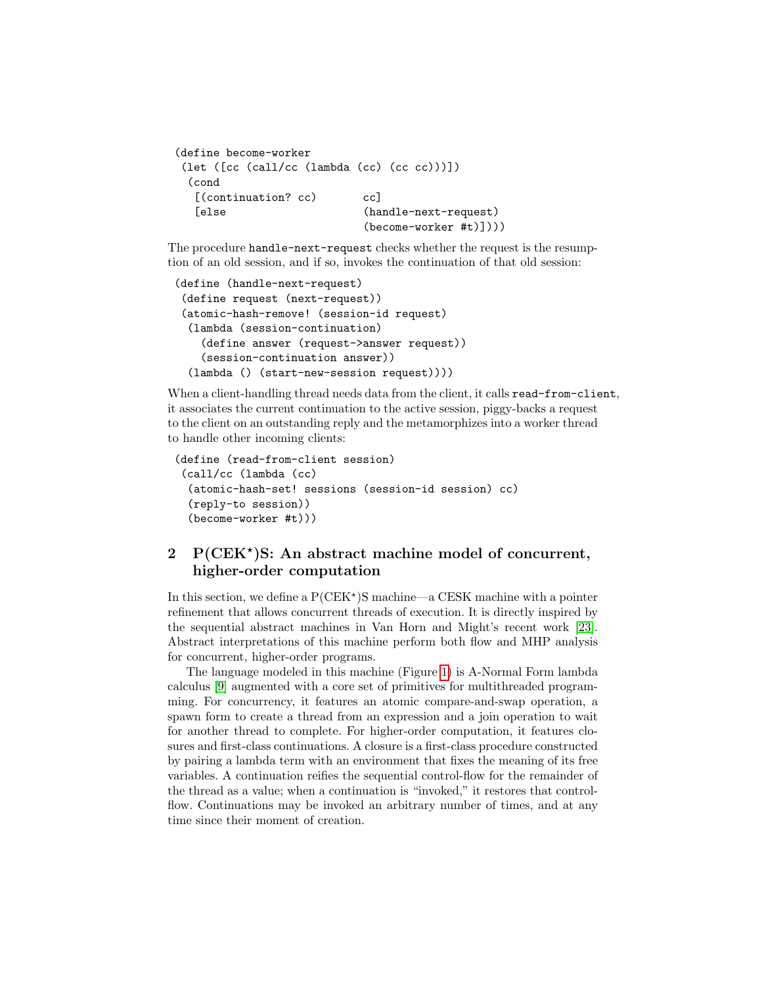```
(define become-worker
(let ([cc (call/cc (lambda (cc) (cc cc)))])
 (cond
  [(continuation? cc) cc]
  [else (handle-next-request)
                         (become-worker #t)])))
```
The procedure handle-next-request checks whether the request is the resumption of an old session, and if so, invokes the continuation of that old session:

```
(define (handle-next-request)
(define request (next-request))
(atomic-hash-remove! (session-id request)
 (lambda (session-continuation)
   (define answer (request->answer request))
   (session-continuation answer))
 (lambda () (start-new-session request))))
```
When a client-handling thread needs data from the client, it calls read-from-client, it associates the current continuation to the active session, piggy-backs a request to the client on an outstanding reply and the metamorphizes into a worker thread to handle other incoming clients:

```
(define (read-from-client session)
 (call/cc (lambda (cc)
  (atomic-hash-set! sessions (session-id session) cc)
  (reply-to session))
  (become-worker #t)))
```
## 2 P(CEK\*)S: An abstract machine model of concurrent, higher-order computation

In this section, we define a  $P(\text{CEK*})$ S machine—a CESK machine with a pointer refinement that allows concurrent threads of execution. It is directly inspired by the sequential abstract machines in Van Horn and Might's recent work [\[23\]](#page-16-2). Abstract interpretations of this machine perform both flow and MHP analysis for concurrent, higher-order programs.

The language modeled in this machine (Figure [1\)](#page-3-0) is A-Normal Form lambda calculus [\[9\]](#page-16-3) augmented with a core set of primitives for multithreaded programming. For concurrency, it features an atomic compare-and-swap operation, a spawn form to create a thread from an expression and a join operation to wait for another thread to complete. For higher-order computation, it features closures and first-class continuations. A closure is a first-class procedure constructed by pairing a lambda term with an environment that fixes the meaning of its free variables. A continuation reifies the sequential control-flow for the remainder of the thread as a value; when a continuation is "invoked," it restores that controlflow. Continuations may be invoked an arbitrary number of times, and at any time since their moment of creation.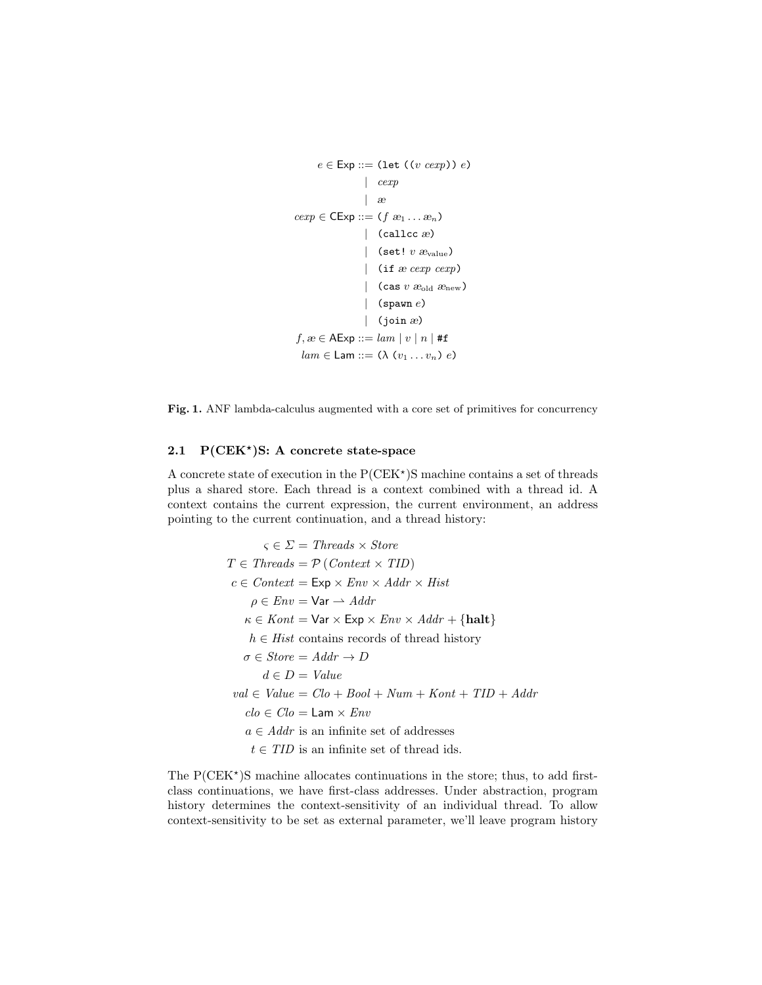```
e \in \text{Exp} ::= (\text{let } ((v \text{ cexp})) e)| cexp
                     | æ
cexp \in \mathsf{CExp} ::= (f \mathcal{L}_1 \ldots \mathcal{L}_n)| (callcc x)
                     | (set! v \mathcal{L}_{value})
                     | (if æ cexp cexp)
                     | (cas v \mathcal{L}_{old} \mathcal{L}_{new})
                     | (spawn e)
                     | (join æ)
f, \omega \in \mathsf{AExp} ::= \mathit{lam} \mid v \mid n \mid \mathsf{ff}lam \in Lam ::= (\lambda (v_1 ... v_n) e)
```
<span id="page-3-0"></span>Fig. 1. ANF lambda-calculus augmented with a core set of primitives for concurrency

## 2.1  $P(CEK^*)S: A$  concrete state-space

A concrete state of execution in the P(CEK? )S machine contains a set of threads plus a shared store. Each thread is a context combined with a thread id. A context contains the current expression, the current environment, an address pointing to the current continuation, and a thread history:

$$
\varsigma \in \Sigma = \text{Threads} \times \text{Store}
$$
\n
$$
T \in \text{Threads} = \mathcal{P}(\text{Context} \times \text{TID})
$$
\n
$$
c \in \text{Context} = \text{Exp} \times \text{Env} \times \text{Addr} \times \text{Hist}
$$
\n
$$
\rho \in \text{Env} = \text{Var} \rightarrow \text{Addr}
$$
\n
$$
\kappa \in \text{Kont} = \text{Var} \times \text{Exp} \times \text{Env} \times \text{Addr} + \{\text{halt}\}
$$
\n
$$
h \in \text{Hist} \text{ contains records of thread history}
$$
\n
$$
\sigma \in \text{Store} = \text{Addr} \rightarrow D
$$
\n
$$
d \in D = \text{Value}
$$
\n
$$
\text{val} \in \text{Value} = \text{Clo} + \text{Bool} + \text{Num} + \text{Kont} + \text{TID} + \text{Addr}
$$
\n
$$
\text{clo} \in \text{Clo} = \text{Lam} \times \text{Env}
$$
\n
$$
a \in \text{Addr} \text{ is an infinite set of addresses}
$$
\n
$$
t \in \text{TID} \text{ is an infinite set of thread is.}
$$

The  $P(\text{CEK*})$ S machine allocates continuations in the store; thus, to add firstclass continuations, we have first-class addresses. Under abstraction, program history determines the context-sensitivity of an individual thread. To allow context-sensitivity to be set as external parameter, we'll leave program history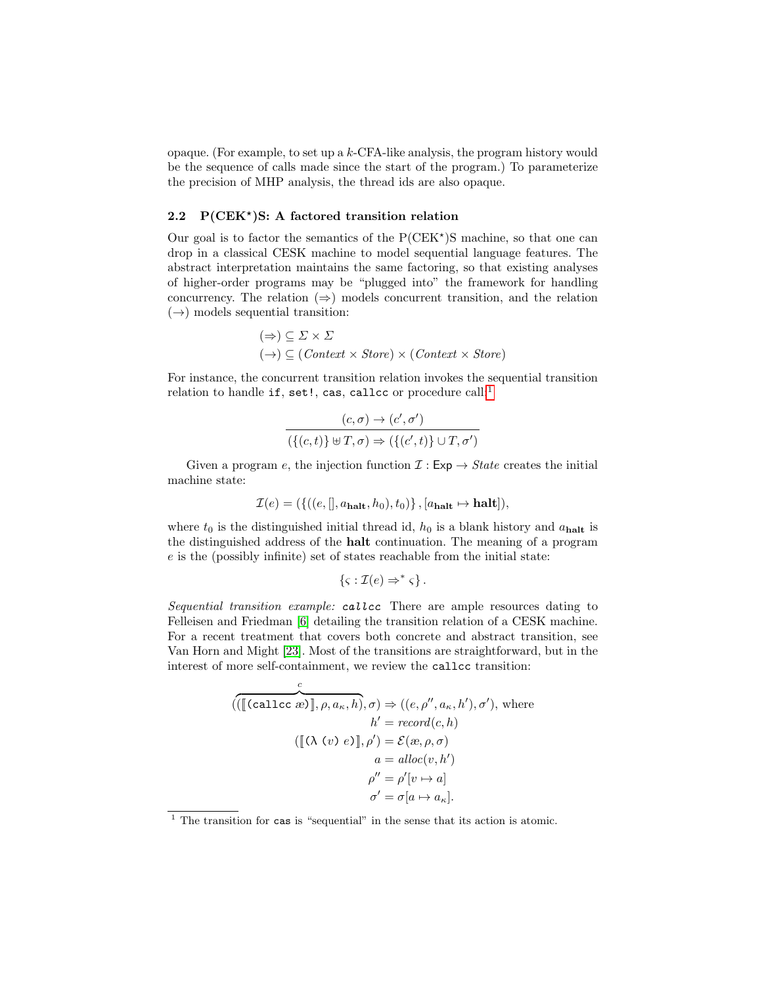opaque. (For example, to set up a k-CFA-like analysis, the program history would be the sequence of calls made since the start of the program.) To parameterize the precision of MHP analysis, the thread ids are also opaque.

## 2.2 P(CEK<sup>\*</sup>)S: A factored transition relation

Our goal is to factor the semantics of the  $P(CEK^{\star})S$  machine, so that one can drop in a classical CESK machine to model sequential language features. The abstract interpretation maintains the same factoring, so that existing analyses of higher-order programs may be "plugged into" the framework for handling concurrency. The relation  $(\Rightarrow)$  models concurrent transition, and the relation  $(\rightarrow)$  models sequential transition:

$$
(\Rightarrow) \subseteq \Sigma \times \Sigma
$$
  

$$
(\rightarrow) \subseteq (Context \times Store) \times (Context \times Store)
$$

For instance, the concurrent transition relation invokes the sequential transition relation to handle if, set!, cas, called or procedure call: $<sup>1</sup>$  $<sup>1</sup>$  $<sup>1</sup>$ </sup>

$$
\frac{(c,\sigma) \to (c',\sigma')}{(\{(c,t)\} \uplus T,\sigma) \Rightarrow (\{(c',t)\} \cup T,\sigma')}
$$

Given a program e, the injection function  $\mathcal{I}: \mathsf{Exp} \to State$  creates the initial machine state:

$$
\mathcal{I}(e) = (\{((e,[], a_{\mathbf{halt}}, h_0), t_0)\}, [a_{\mathbf{halt}} \mapsto \mathbf{halt}]),
$$

where  $t_0$  is the distinguished initial thread id,  $h_0$  is a blank history and  $a_{\text{halt}}$  is the distinguished address of the halt continuation. The meaning of a program  $e$  is the (possibly infinite) set of states reachable from the initial state:

$$
\{\varsigma : \mathcal{I}(e) \Rightarrow^* \varsigma\}.
$$

Sequential transition example: callcc There are ample resources dating to Felleisen and Friedman [\[6\]](#page-15-1) detailing the transition relation of a CESK machine. For a recent treatment that covers both concrete and abstract transition, see Van Horn and Might [\[23\]](#page-16-2). Most of the transitions are straightforward, but in the interest of more self-containment, we review the callcc transition:

$$
\overbrace{(\llbracket(\text{calloc } \hat{\mathbf{x}})\rrbracket, \rho, a_{\kappa}, h)}, \sigma) \Rightarrow ((e, \rho'', a_{\kappa}, h'), \sigma'), \text{ where}
$$
\n
$$
h' = record(c, h)
$$
\n
$$
(\llbracket (\lambda (v) e) \rrbracket, \rho') = \mathcal{E}(\mathbf{x}, \rho, \sigma)
$$
\n
$$
a = alloc(v, h')
$$
\n
$$
\rho'' = \rho'[v \mapsto a]
$$
\n
$$
\sigma' = \sigma[a \mapsto a_{\kappa}].
$$

<span id="page-4-0"></span><sup>&</sup>lt;sup>1</sup> The transition for cas is "sequential" in the sense that its action is atomic.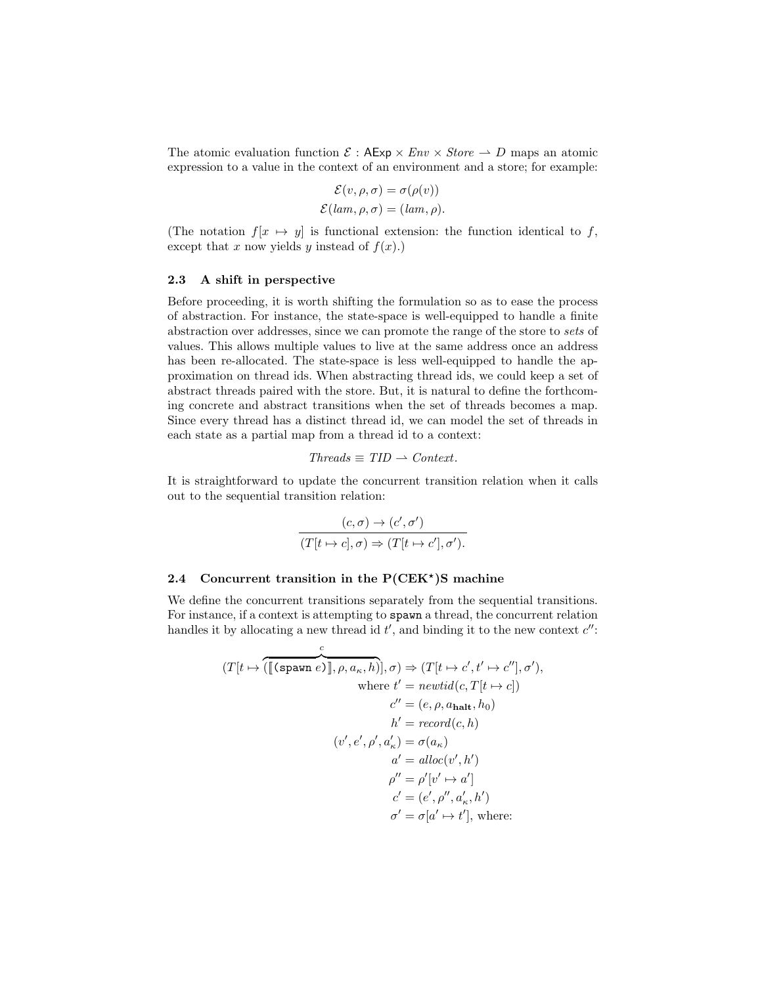The atomic evaluation function  $\mathcal{E}$ : AExp  $\times$  Env  $\times$  Store  $\rightarrow$  D maps an atomic expression to a value in the context of an environment and a store; for example:

$$
\mathcal{E}(v,\rho,\sigma) = \sigma(\rho(v))
$$
  

$$
\mathcal{E}(lam,\rho,\sigma) = (lam,\rho).
$$

(The notation  $f[x \mapsto y]$  is functional extension: the function identical to f, except that x now yields y instead of  $f(x)$ .

#### 2.3 A shift in perspective

Before proceeding, it is worth shifting the formulation so as to ease the process of abstraction. For instance, the state-space is well-equipped to handle a finite abstraction over addresses, since we can promote the range of the store to sets of values. This allows multiple values to live at the same address once an address has been re-allocated. The state-space is less well-equipped to handle the approximation on thread ids. When abstracting thread ids, we could keep a set of abstract threads paired with the store. But, it is natural to define the forthcoming concrete and abstract transitions when the set of threads becomes a map. Since every thread has a distinct thread id, we can model the set of threads in each state as a partial map from a thread id to a context:

$$
Threads \equiv TID \rightarrow Context.
$$

It is straightforward to update the concurrent transition relation when it calls out to the sequential transition relation:

$$
\frac{(c,\sigma) \to (c',\sigma')}{(T[t \mapsto c],\sigma) \Rightarrow (T[t \mapsto c'],\sigma').}
$$

## 2.4 Concurrent transition in the  $P(CEK^*)S$  machine

We define the concurrent transitions separately from the sequential transitions. For instance, if a context is attempting to spawn a thread, the concurrent relation handles it by allocating a new thread id  $t'$ , and binding it to the new context  $c''$ :

$$
(T[t \mapsto \overbrace{([\text{spawn } e)}^c], \rho, a_{\kappa}, h)], \sigma) \Rightarrow (T[t \mapsto c', t' \mapsto c''], \sigma'),
$$
  
\nwhere  $t' = newtid(c, T[t \mapsto c])$   
\n
$$
c'' = (e, \rho, a_{\text{halt}}, h_0)
$$
  
\n
$$
h' = record(c, h)
$$
  
\n
$$
(v', e', \rho', a'_{\kappa}) = \sigma(a_{\kappa})
$$
  
\n
$$
a' = alloc(v', h')
$$
  
\n
$$
\rho'' = \rho'[v' \mapsto a']
$$
  
\n
$$
c' = (e', \rho'', a'_{\kappa}, h')
$$
  
\n
$$
\sigma' = \sigma[a' \mapsto t'], \text{ where:}
$$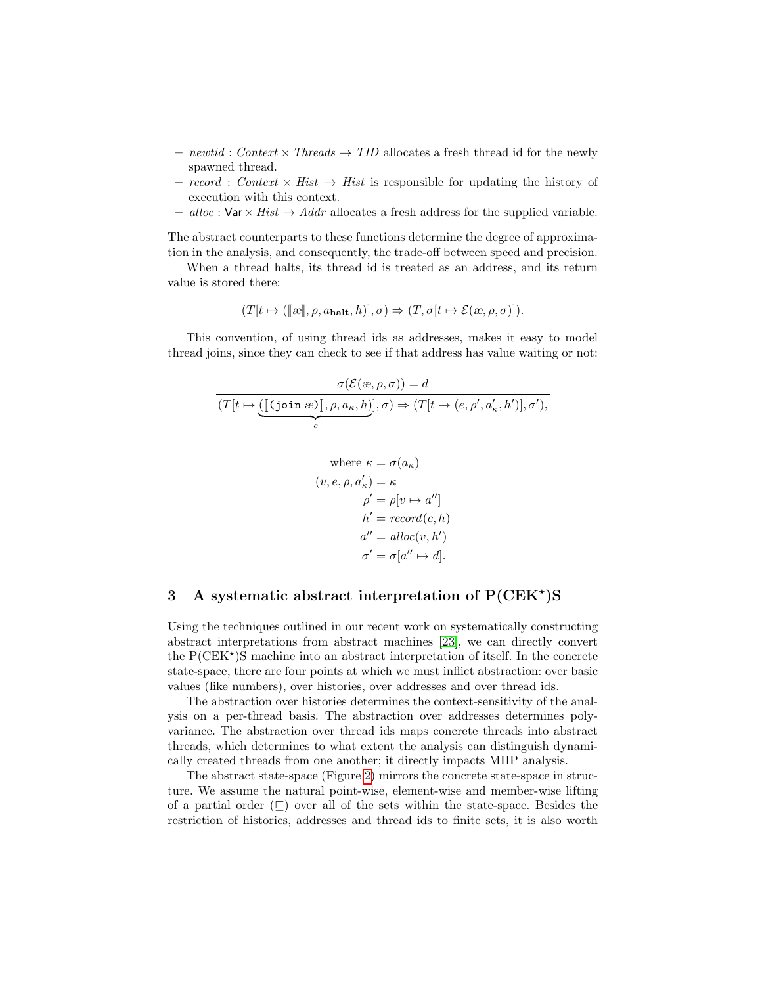- newtid: Context  $\times$  Threads  $\rightarrow$  TID allocates a fresh thread id for the newly spawned thread.
- record : Context  $\times$  Hist  $\rightarrow$  Hist is responsible for updating the history of execution with this context.
- alloc:  $\forall$ ar  $\times$  Hist  $\rightarrow$  Addr allocates a fresh address for the supplied variable.

The abstract counterparts to these functions determine the degree of approximation in the analysis, and consequently, the trade-off between speed and precision.

When a thread halts, its thread id is treated as an address, and its return value is stored there:

$$
(T[t \mapsto ([\mathbf{x}], \rho, a_{\mathbf{halt}}, h)], \sigma) \Rightarrow (T, \sigma[t \mapsto \mathcal{E}(\mathbf{x}, \rho, \sigma)]).
$$

This convention, of using thread ids as addresses, makes it easy to model thread joins, since they can check to see if that address has value waiting or not:

$$
\sigma(\mathcal{E}(\mathbf{x}, \rho, \sigma)) = d
$$

$$
(T[t \mapsto (\llbracket (\mathtt{join} \mathbf{x}) \rrbracket, \rho, a_{\kappa}, h)], \sigma) \Rightarrow (T[t \mapsto (e, \rho', a'_{\kappa}, h')], \sigma'),
$$

where 
$$
\kappa = \sigma(a_{\kappa})
$$
  
\n $(v, e, \rho, a'_{\kappa}) = \kappa$   
\n $\rho' = \rho[v \mapsto a'']$   
\n $h' = record(c, h)$   
\n $a'' = alloc(v, h')$   
\n $\sigma' = \sigma[a'' \mapsto d].$ 

## 3 A systematic abstract interpretation of  $P(CEK<sup>*</sup>)S$

Using the techniques outlined in our recent work on systematically constructing abstract interpretations from abstract machines [\[23\]](#page-16-2), we can directly convert the P(CEK<sup>\*</sup>)S machine into an abstract interpretation of itself. In the concrete state-space, there are four points at which we must inflict abstraction: over basic values (like numbers), over histories, over addresses and over thread ids.

The abstraction over histories determines the context-sensitivity of the analysis on a per-thread basis. The abstraction over addresses determines polyvariance. The abstraction over thread ids maps concrete threads into abstract threads, which determines to what extent the analysis can distinguish dynamically created threads from one another; it directly impacts MHP analysis.

The abstract state-space (Figure [2\)](#page-7-0) mirrors the concrete state-space in structure. We assume the natural point-wise, element-wise and member-wise lifting of a partial order  $(\subseteq)$  over all of the sets within the state-space. Besides the restriction of histories, addresses and thread ids to finite sets, it is also worth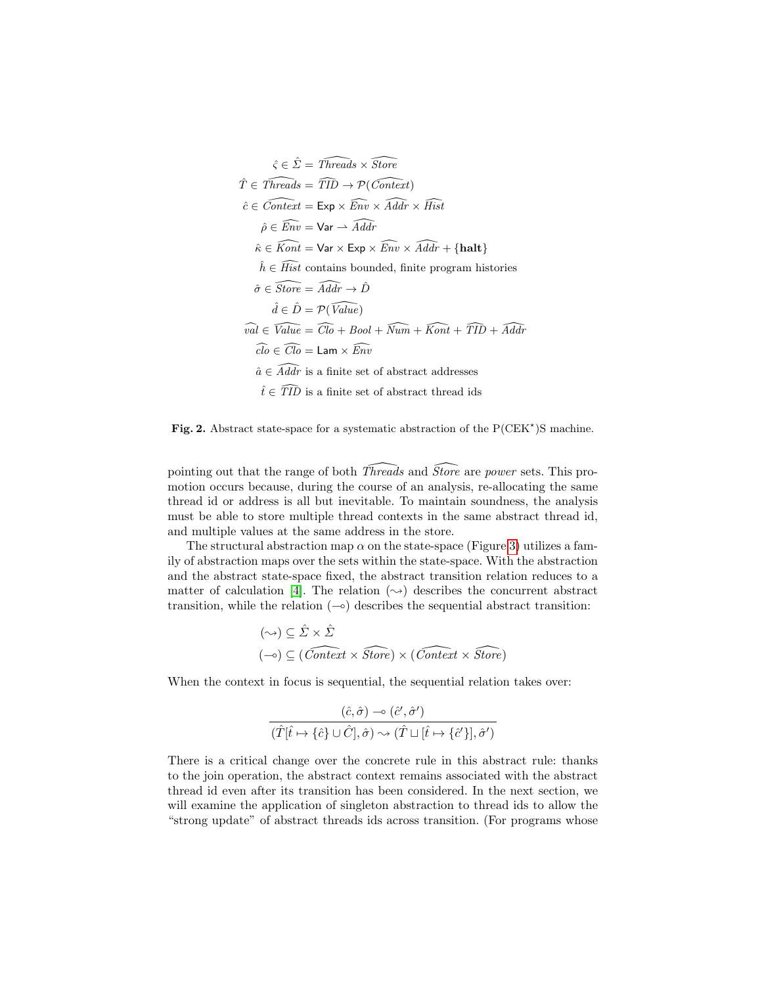$$
\hat{\zeta} \in \hat{\Sigma} = \hat{Threads} \times \hat{Store}
$$
\n
$$
\hat{T} \in \hat{Threads} = \hat{TID} \rightarrow \mathcal{P}(\hat{Context})
$$
\n
$$
\hat{c} \in \hat{Context} = \text{Exp} \times \hat{Env} \times \hat{Addr} \times \hat{Hist}
$$
\n
$$
\hat{\rho} \in \hat{Env} = \text{Var} \rightarrow \hat{Addr}
$$
\n
$$
\hat{\kappa} \in \hat{Kont} = \text{Var} \times \text{Exp} \times \hat{Env} \times \hat{Addr} + \{\text{halt}\}
$$
\n
$$
\hat{h} \in \hat{Hist} \text{ contains bounded, finite program histories}
$$
\n
$$
\hat{\sigma} \in \hat{Store} = \hat{Addr} \rightarrow \hat{D}
$$
\n
$$
\hat{d} \in \hat{D} = \mathcal{P}(\hat{Value})
$$
\n
$$
\hat{val} \in \hat{Value} = \hat{Clo} + \hat{Bool} + \hat{Num} + \hat{Kont} + \hat{TID} + \hat{Addr}
$$
\n
$$
\hat{clo} \in \hat{Clo} = \text{Lam} \times \hat{Env}
$$
\n
$$
\hat{a} \in \hat{Addr} \text{ is a finite set of abstract addresses}
$$
\n
$$
\hat{t} \in \hat{TID} \text{ is a finite set of abstract thread is}
$$

<span id="page-7-0"></span>Fig. 2. Abstract state-space for a systematic abstraction of the  $P(CEK^*)S$  machine.

pointing out that the range of both  $\widehat{Threads}$  and  $\widehat{Store}$  are power sets. This promotion occurs because, during the course of an analysis, re-allocating the same thread id or address is all but inevitable. To maintain soundness, the analysis must be able to store multiple thread contexts in the same abstract thread id, and multiple values at the same address in the store.

The structural abstraction map  $\alpha$  on the state-space (Figure [3\)](#page-8-0) utilizes a family of abstraction maps over the sets within the state-space. With the abstraction and the abstract state-space fixed, the abstract transition relation reduces to a matter of calculation [\[4\]](#page-15-2). The relation  $(\sim)$  describes the concurrent abstract transition, while the relation  $(-\circ)$  describes the sequential abstract transition:

$$
(\neg) \subseteq \hat{\Sigma} \times \hat{\Sigma}
$$
  

$$
(\neg) \subseteq (\text{Context} \times \text{Store}) \times (\text{Context} \times \text{Store})
$$

When the context in focus is sequential, the sequential relation takes over:

$$
\frac{(\hat{c}, \hat{\sigma}) \rightarrow (\hat{c}', \hat{\sigma}')}{(\hat{T}[\hat{t} \mapsto \{\hat{c}\} \cup \hat{C}], \hat{\sigma}) \rightsquigarrow (\hat{T} \sqcup [\hat{t} \mapsto \{\hat{c}'\}], \hat{\sigma}')
$$

There is a critical change over the concrete rule in this abstract rule: thanks to the join operation, the abstract context remains associated with the abstract thread id even after its transition has been considered. In the next section, we will examine the application of singleton abstraction to thread ids to allow the "strong update" of abstract threads ids across transition. (For programs whose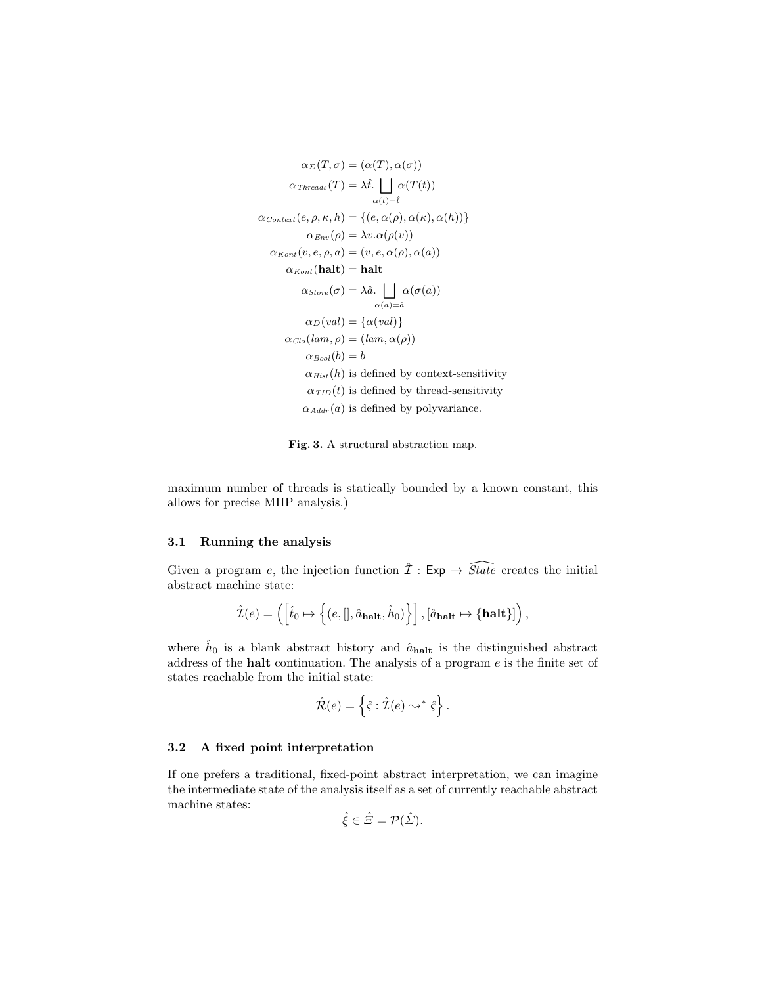$$
\alpha_{\Sigma}(T,\sigma) = (\alpha(T), \alpha(\sigma))
$$
\n
$$
\alpha_{Threads}(T) = \lambda \hat{t}.\bigsqcup_{\alpha(t)=\hat{t}} \alpha(T(t))
$$
\n
$$
\alpha_{Context}(e, \rho, \kappa, h) = \{(e, \alpha(\rho), \alpha(\kappa), \alpha(h))\}
$$
\n
$$
\alpha_{Env}(\rho) = \lambda v.\alpha(\rho(v))
$$
\n
$$
\alpha_{Kont}(v, e, \rho, a) = (v, e, \alpha(\rho), \alpha(a))
$$
\n
$$
\alpha_{Kont}(\text{halt}) = \text{halt}
$$
\n
$$
\alpha_{Store}(\sigma) = \lambda \hat{a}.\bigsqcup_{\alpha(a)=\hat{a}} \alpha(\sigma(a))
$$
\n
$$
\alpha_{D}(val) = \{\alpha(val)\}
$$
\n
$$
\alpha_{Clo}(\text{lam}, \rho) = (\text{lam}, \alpha(\rho))
$$
\n
$$
\alpha_{Bool}(b) = b
$$
\n
$$
\alpha_{Hist}(h) \text{ is defined by context-sensitive}
$$
\n
$$
\alpha_{TID}(t) \text{ is defined by by bivariate}
$$

<span id="page-8-0"></span>Fig. 3. A structural abstraction map.

maximum number of threads is statically bounded by a known constant, this allows for precise MHP analysis.)

#### 3.1 Running the analysis

Given a program e, the injection function  $\hat{\mathcal{I}}$  : Exp  $\rightarrow$   $\widehat{State}$  creates the initial abstract machine state:

$$
\hat{\mathcal{I}}(e) = \left( \left[ \hat{t}_0 \mapsto \left\{ (e,[], \hat{a}_{\mathbf{halt}}, \hat{h}_0) \right\} \right], [\hat{a}_{\mathbf{halt}} \mapsto \{\mathbf{halt}\}]\right),\
$$

where  $\hat{h}_0$  is a blank abstract history and  $\hat{a}_{\text{halt}}$  is the distinguished abstract address of the **halt** continuation. The analysis of a program  $e$  is the finite set of states reachable from the initial state:

$$
\hat{\mathcal{R}}(e) = \left\{ \hat{\varsigma} : \hat{\mathcal{I}}(e) \leadsto^* \hat{\varsigma} \right\}.
$$

#### 3.2 A fixed point interpretation

If one prefers a traditional, fixed-point abstract interpretation, we can imagine the intermediate state of the analysis itself as a set of currently reachable abstract machine states:

$$
\hat{\xi} \in \hat{\Xi} = \mathcal{P}(\hat{\Sigma}).
$$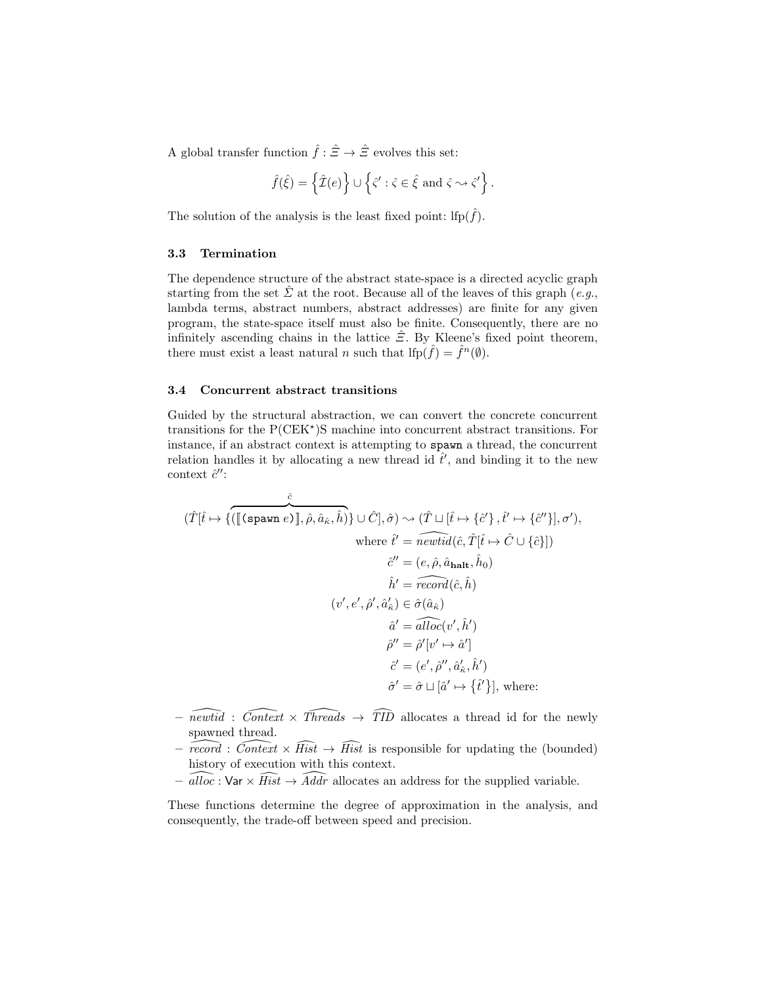A global transfer function  $\hat{f}:\hat{\varXi}\to\hat{\varXi}$  evolves this set:

$$
\hat{f}(\hat{\xi}) = \left\{ \hat{\mathcal{I}}(e) \right\} \cup \left\{ \hat{\varsigma}' : \hat{\varsigma} \in \hat{\xi} \text{ and } \hat{\varsigma} \sim \hat{\varsigma}' \right\}.
$$

The solution of the analysis is the least fixed point: lfp( $\hat{f}$ ).

#### 3.3 Termination

The dependence structure of the abstract state-space is a directed acyclic graph starting from the set  $\hat{\Sigma}$  at the root. Because all of the leaves of this graph (e.g., lambda terms, abstract numbers, abstract addresses) are finite for any given program, the state-space itself must also be finite. Consequently, there are no infinitely ascending chains in the lattice  $\mathcal{Z}$ . By Kleene's fixed point theorem, there must exist a least natural *n* such that  $\text{Ifp}(\hat{f}) = \hat{f}^n(\emptyset)$ .

#### 3.4 Concurrent abstract transitions

Guided by the structural abstraction, we can convert the concrete concurrent transitions for the P(CEK<sup>\*</sup>)S machine into concurrent abstract transitions. For instance, if an abstract context is attempting to spawn a thread, the concurrent relation handles it by allocating a new thread id  $\hat{t}'$ , and binding it to the new context  $\hat{c}$ ":

$$
\hat{f}(\hat{f}) \leftrightarrow \{ (\langle [\text{spawn } e \rangle \text{ }], \hat{\rho}, \hat{a}_{\hat{\kappa}}, \hat{h}) \} \cup \hat{C} |, \hat{\sigma}) \leadsto (\hat{T} \sqcup [\hat{t} \mapsto {\hat{c}}', \hat{t}' \mapsto {\hat{c}}''], \hat{\sigma}'),
$$
\nwhere  $\hat{t}' = \hat{newtid}(\hat{c}, \hat{T}[\hat{t} \mapsto \hat{C} \cup {\hat{c}}] )$   
\n $\hat{c}'' = (e, \hat{\rho}, \hat{a}_{\text{halt}}, \hat{h}_0)$   
\n $\hat{h}' = \hat{record}(\hat{c}, \hat{h})$   
\n $(v', e', \hat{\rho}', \hat{a}'_{\hat{\kappa}}) \in \hat{\sigma}(\hat{a}_{\hat{\kappa}})$   
\n $\hat{a}' = \hat{alloc}(v', \hat{h}')$   
\n $\hat{\rho}'' = \hat{\rho}'[v' \mapsto \hat{a}']$   
\n $\hat{c}' = (e', \hat{\rho}'', \hat{a}'_{\hat{\kappa}}, \hat{h}')$   
\n $\hat{\sigma}' = \hat{\sigma} \sqcup [\hat{a}' \mapsto {\hat{t}}'],$  where:

- $\widehat{neutral}$ :  $\widehat{Context} \times \widehat{Threads} \rightarrow \widehat{TID}$  allocates a thread id for the newly spawned thread.
- $\widehat{record}$ :  $\widehat{Context} \times \widehat{Hist} \rightarrow \widehat{Hist}$  is responsible for updating the (bounded) history of execution with this context.
- $\widehat{alloc}$ : Var  $\times \widehat{Hist} \rightarrow \widehat{Addr}$  allocates an address for the supplied variable.

These functions determine the degree of approximation in the analysis, and consequently, the trade-off between speed and precision.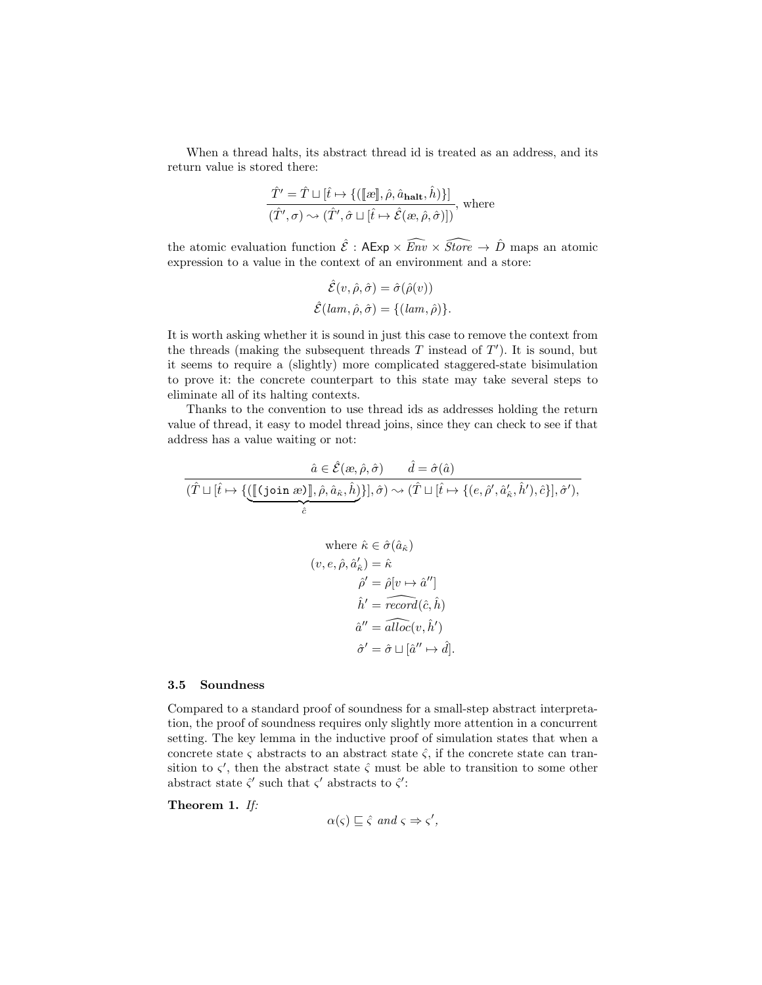When a thread halts, its abstract thread id is treated as an address, and its return value is stored there:

$$
\frac{\hat{T}'}{(\hat{T}', \sigma) \leadsto (\hat{T}', \hat{\sigma} \sqcup [\hat{t} \mapsto \{([\mathbf{E}\mathbf{E}], \hat{\rho}, \hat{a}_{\mathbf{halt}}, \hat{h})\}])}{(\hat{T}', \sigma) \leadsto (\hat{T}', \hat{\sigma} \sqcup [\hat{t} \mapsto \hat{\mathcal{E}}(\mathbf{E}, \hat{\rho}, \hat{\sigma})])},
$$
 where

the atomic evaluation function  $\hat{\mathcal{E}}$ :  $\mathsf{AExp} \times \widehat{Env} \times \widehat{Store} \to \hat{D}$  maps an atomic expression to a value in the context of an environment and a store:

$$
\hat{\mathcal{E}}(v,\hat{\rho},\hat{\sigma}) = \hat{\sigma}(\hat{\rho}(v))
$$
  

$$
\hat{\mathcal{E}}(\text{lam},\hat{\rho},\hat{\sigma}) = \{(\text{lam},\hat{\rho})\}.
$$

It is worth asking whether it is sound in just this case to remove the context from the threads (making the subsequent threads  $T$  instead of  $T'$ ). It is sound, but it seems to require a (slightly) more complicated staggered-state bisimulation to prove it: the concrete counterpart to this state may take several steps to eliminate all of its halting contexts.

Thanks to the convention to use thread ids as addresses holding the return value of thread, it easy to model thread joins, since they can check to see if that address has a value waiting or not:

$$
\hat{a} \in \hat{\mathcal{E}}(\mathbf{x}, \hat{\rho}, \hat{\sigma}) \qquad \hat{d} = \hat{\sigma}(\hat{a})
$$
\n
$$
\overbrace{(\hat{T} \sqcup [\hat{t} \mapsto \{([\text{Join } \mathbf{x}^2)], \hat{\rho}, \hat{a}_{\hat{\kappa}}, \hat{h})\}], \hat{\sigma}) \leadsto (\hat{T} \sqcup [\hat{t} \mapsto \{(e, \hat{\rho}', \hat{a}'_{\hat{\kappa}}, \hat{h}'), \hat{c}\}], \hat{\sigma}'),
$$

where 
$$
\hat{\kappa} \in \hat{\sigma}(\hat{a}_{\hat{\kappa}})
$$
  
\n $(v, e, \hat{\rho}, \hat{a}'_{\hat{\kappa}}) = \hat{\kappa}$   
\n $\hat{\rho}' = \hat{\rho}[v \mapsto \hat{a}'']$   
\n $\hat{h}' = \widehat{record}(\hat{c}, \hat{h})$   
\n $\hat{a}'' = \widehat{alloc}(v, \hat{h}')$   
\n $\hat{\sigma}' = \hat{\sigma} \sqcup [\hat{a}'' \mapsto \hat{d}].$ 

#### 3.5 Soundness

Compared to a standard proof of soundness for a small-step abstract interpretation, the proof of soundness requires only slightly more attention in a concurrent setting. The key lemma in the inductive proof of simulation states that when a concrete state  $\varsigma$  abstracts to an abstract state  $\hat{\varsigma}$ , if the concrete state can transition to  $\varsigma'$ , then the abstract state  $\hat{\varsigma}$  must be able to transition to some other abstract state  $\hat{\zeta}'$  such that  $\zeta'$  abstracts to  $\hat{\zeta}'$ :

Theorem 1. If:

 $\alpha(\varsigma) \sqsubseteq \hat{\varsigma}$  and  $\varsigma \Rightarrow \varsigma',$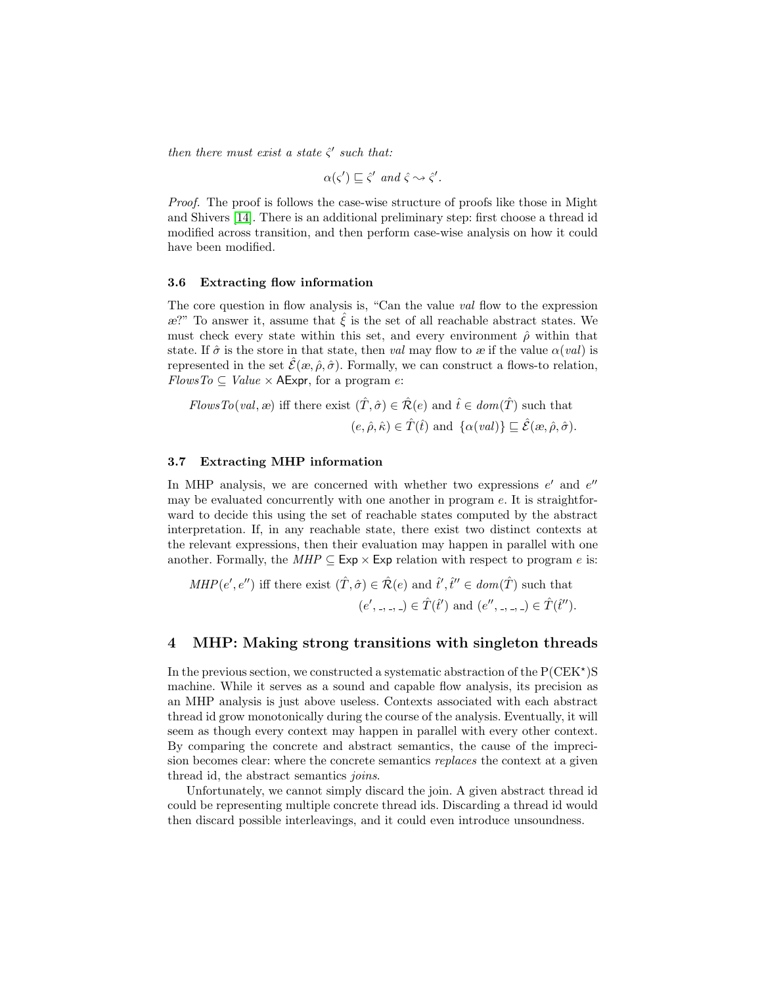then there must exist a state  $\hat{\zeta}'$  such that:

$$
\alpha(\varsigma') \sqsubseteq \hat{\varsigma}' \text{ and } \hat{\varsigma} \leadsto \hat{\varsigma}'.
$$

Proof. The proof is follows the case-wise structure of proofs like those in Might and Shivers [\[14\]](#page-16-4). There is an additional preliminary step: first choose a thread id modified across transition, and then perform case-wise analysis on how it could have been modified.

#### 3.6 Extracting flow information

The core question in flow analysis is, "Can the value val flow to the expression æ?" To answer it, assume that  $\hat{\xi}$  is the set of all reachable abstract states. We must check every state within this set, and every environment  $\hat{\rho}$  within that state. If  $\hat{\sigma}$  is the store in that state, then val may flow to æ if the value  $\alpha(val)$  is represented in the set  $\mathcal{E}(\mathcal{E}, \hat{\rho}, \hat{\sigma})$ . Formally, we can construct a flows-to relation,  $FlowsTo \subseteq Value \times AExpr$ , for a program e:

$$
FlowsTo(val, x) \text{ iff there exist } (\hat{T}, \hat{\sigma}) \in \hat{\mathcal{R}}(e) \text{ and } \hat{t} \in dom(\hat{T}) \text{ such that}
$$

$$
(e, \hat{\rho}, \hat{\kappa}) \in \hat{T}(\hat{t}) \text{ and } \{ \alpha (val) \} \sqsubseteq \hat{\mathcal{E}}(x, \hat{\rho}, \hat{\sigma}).
$$

#### 3.7 Extracting MHP information

In MHP analysis, we are concerned with whether two expressions  $e'$  and  $e''$ may be evaluated concurrently with one another in program  $e$ . It is straightforward to decide this using the set of reachable states computed by the abstract interpretation. If, in any reachable state, there exist two distinct contexts at the relevant expressions, then their evaluation may happen in parallel with one another. Formally, the  $MHP \subseteq \text{Exp} \times \text{Exp}$  relation with respect to program e is:

$$
MHP(e', e'')
$$
 iff there exist  $(\hat{T}, \hat{\sigma}) \in \hat{\mathcal{R}}(e)$  and  $\hat{t}', \hat{t}'' \in dom(\hat{T})$  such that  
 $(e', \_,\_,\_) \in \hat{T}(\hat{t}')$  and  $(e'', \_,\_,\_) \in \hat{T}(\hat{t}'').$ 

## 4 MHP: Making strong transitions with singleton threads

In the previous section, we constructed a systematic abstraction of the  $P(\text{CEK}^{\star})S$ machine. While it serves as a sound and capable flow analysis, its precision as an MHP analysis is just above useless. Contexts associated with each abstract thread id grow monotonically during the course of the analysis. Eventually, it will seem as though every context may happen in parallel with every other context. By comparing the concrete and abstract semantics, the cause of the imprecision becomes clear: where the concrete semantics replaces the context at a given thread id, the abstract semantics joins.

Unfortunately, we cannot simply discard the join. A given abstract thread id could be representing multiple concrete thread ids. Discarding a thread id would then discard possible interleavings, and it could even introduce unsoundness.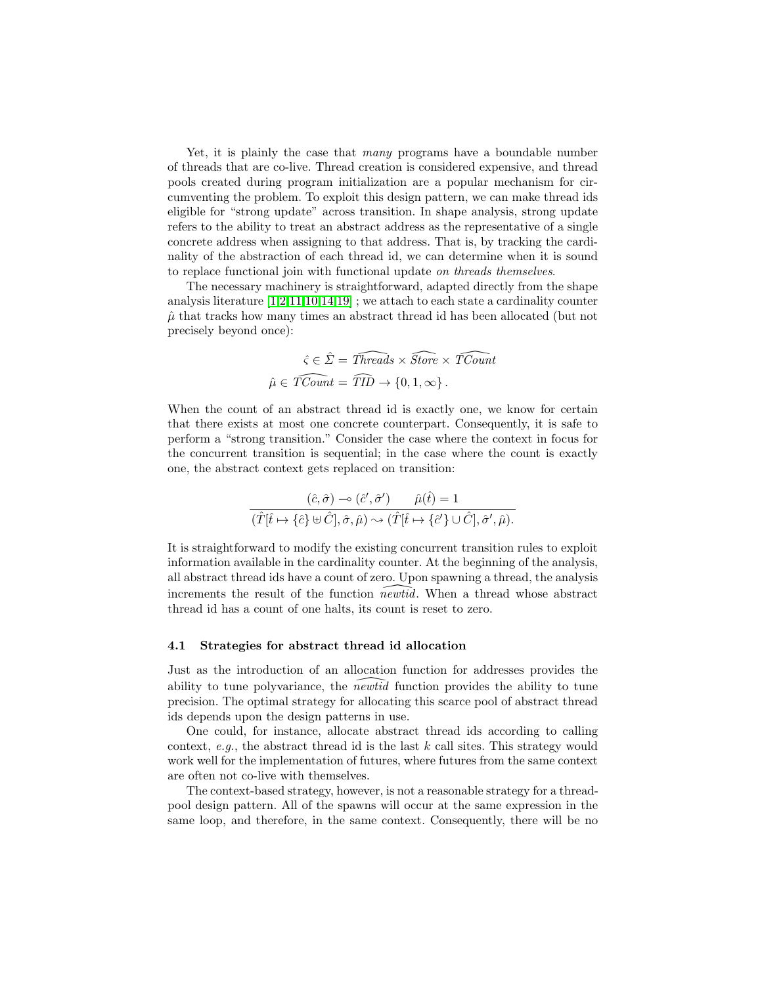Yet, it is plainly the case that *many* programs have a boundable number of threads that are co-live. Thread creation is considered expensive, and thread pools created during program initialization are a popular mechanism for circumventing the problem. To exploit this design pattern, we can make thread ids eligible for "strong update" across transition. In shape analysis, strong update refers to the ability to treat an abstract address as the representative of a single concrete address when assigning to that address. That is, by tracking the cardinality of the abstraction of each thread id, we can determine when it is sound to replace functional join with functional update on threads themselves.

The necessary machinery is straightforward, adapted directly from the shape analysis literature [\[1,](#page-15-3)[2,](#page-15-4)[11,](#page-16-5)[10](#page-16-6)[,14,](#page-16-4)[19\]](#page-16-7) ; we attach to each state a cardinality counter  $\hat{\mu}$  that tracks how many times an abstract thread id has been allocated (but not precisely beyond once):

$$
\hat{\zeta} \in \hat{\Sigma} = \widehat{Threads} \times \widehat{Store} \times \widehat{TCount}
$$

$$
\hat{\mu} \in \widehat{TCount} = \widehat{TID} \to \{0, 1, \infty\}.
$$

When the count of an abstract thread id is exactly one, we know for certain that there exists at most one concrete counterpart. Consequently, it is safe to perform a "strong transition." Consider the case where the context in focus for the concurrent transition is sequential; in the case where the count is exactly one, the abstract context gets replaced on transition:

$$
\frac{(\hat{c},\hat{\sigma})\multimap(\hat{c}',\hat{\sigma}')\qquad \hat{\mu}(\hat{t})=1}{(\hat{T}[\hat{t}\mapsto\{\hat{c}\}\uplus \hat{C}],\hat{\sigma},\hat{\mu})\leadsto(\hat{T}[\hat{t}\mapsto\{\hat{c}'\}\cup \hat{C}],\hat{\sigma}',\hat{\mu})}.
$$

It is straightforward to modify the existing concurrent transition rules to exploit information available in the cardinality counter. At the beginning of the analysis, all abstract thread ids have a count of zero. Upon spawning a thread, the analysis increments the result of the function *newtid*. When a thread whose abstract thread id has a count of one halts, its count is reset to zero.

#### 4.1 Strategies for abstract thread id allocation

Just as the introduction of an allocation function for addresses provides the ability to tune polyvariance, the *newtid* function provides the ability to tune precision. The optimal strategy for allocating this scarce pool of abstract thread ids depends upon the design patterns in use.

One could, for instance, allocate abstract thread ids according to calling context,  $e.g.,$  the abstract thread id is the last  $k$  call sites. This strategy would work well for the implementation of futures, where futures from the same context are often not co-live with themselves.

The context-based strategy, however, is not a reasonable strategy for a threadpool design pattern. All of the spawns will occur at the same expression in the same loop, and therefore, in the same context. Consequently, there will be no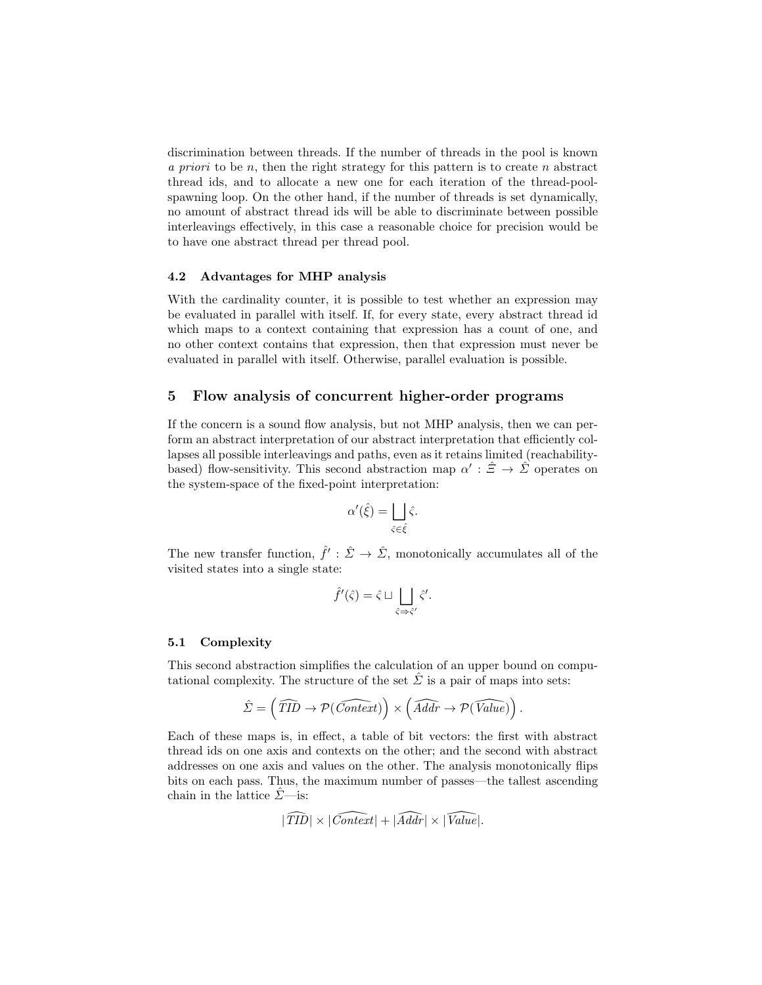discrimination between threads. If the number of threads in the pool is known a priori to be n, then the right strategy for this pattern is to create n abstract thread ids, and to allocate a new one for each iteration of the thread-poolspawning loop. On the other hand, if the number of threads is set dynamically, no amount of abstract thread ids will be able to discriminate between possible interleavings effectively, in this case a reasonable choice for precision would be to have one abstract thread per thread pool.

#### 4.2 Advantages for MHP analysis

With the cardinality counter, it is possible to test whether an expression may be evaluated in parallel with itself. If, for every state, every abstract thread id which maps to a context containing that expression has a count of one, and no other context contains that expression, then that expression must never be evaluated in parallel with itself. Otherwise, parallel evaluation is possible.

## 5 Flow analysis of concurrent higher-order programs

If the concern is a sound flow analysis, but not MHP analysis, then we can perform an abstract interpretation of our abstract interpretation that efficiently collapses all possible interleavings and paths, even as it retains limited (reachabilitybased) flow-sensitivity. This second abstraction map  $\alpha' : \hat{\Xi} \to \hat{\Sigma}$  operates on the system-space of the fixed-point interpretation:

$$
\alpha'(\hat{\xi}) = \bigsqcup_{\hat{\varsigma} \in \hat{\xi}} \hat{\varsigma}.
$$

The new transfer function,  $\hat{f}': \hat{\Sigma} \to \hat{\Sigma}$ , monotonically accumulates all of the visited states into a single state:

$$
\hat{f}'(\hat{\varsigma}) = \hat{\varsigma} \sqcup \bigsqcup_{\hat{\varsigma} \Rightarrow \hat{\varsigma}'} \hat{\varsigma}'.
$$

#### 5.1 Complexity

This second abstraction simplifies the calculation of an upper bound on computational complexity. The structure of the set  $\hat{\Sigma}$  is a pair of maps into sets:

$$
\hat{\Sigma} = (\widehat{\text{TID}} \rightarrow \mathcal{P}(\widehat{\text{Context}})) \times (\widehat{\text{Addr}} \rightarrow \mathcal{P}(\widehat{\text{Value}}))
$$

.

Each of these maps is, in effect, a table of bit vectors: the first with abstract thread ids on one axis and contexts on the other; and the second with abstract addresses on one axis and values on the other. The analysis monotonically flips bits on each pass. Thus, the maximum number of passes—the tallest ascending chain in the lattice  $\hat{\mathbf{\Sigma}}$ —is:

$$
|\widehat{\text{TID}}| \times |\widehat{\text{Context}}| + |\widehat{\text{Addr}}| \times |\widehat{\text{Value}}|.
$$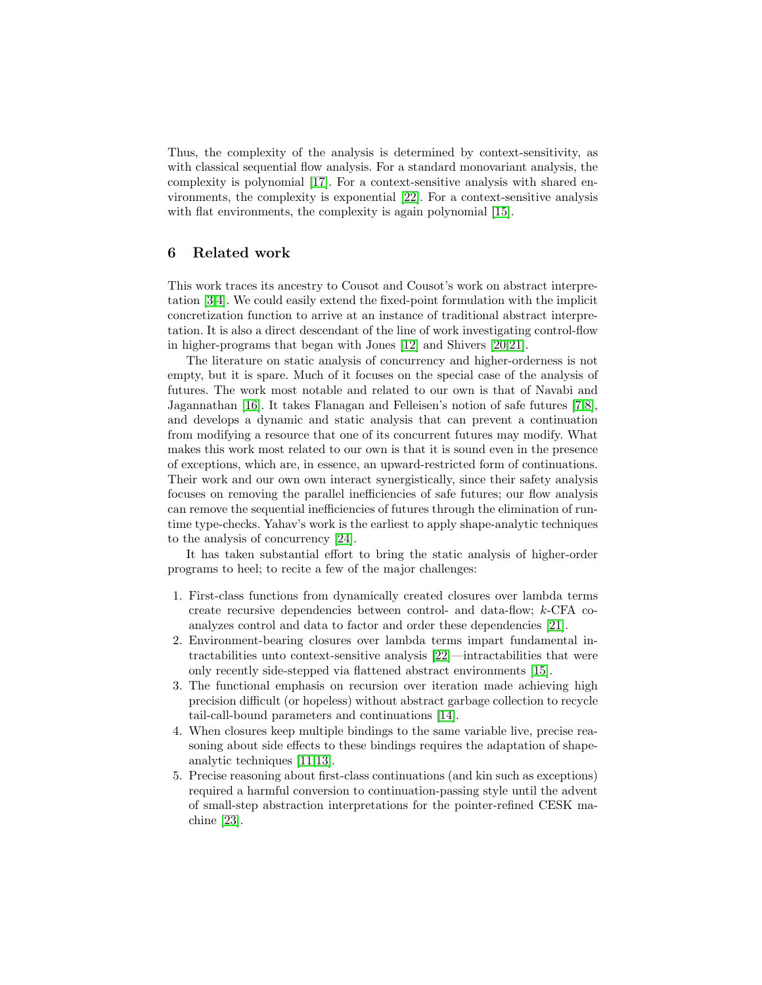Thus, the complexity of the analysis is determined by context-sensitivity, as with classical sequential flow analysis. For a standard monovariant analysis, the complexity is polynomial [\[17\]](#page-16-8). For a context-sensitive analysis with shared environments, the complexity is exponential [\[22\]](#page-16-9). For a context-sensitive analysis with flat environments, the complexity is again polynomial [\[15\]](#page-16-10).

## 6 Related work

This work traces its ancestry to Cousot and Cousot's work on abstract interpretation [\[3](#page-15-5)[,4\]](#page-15-2). We could easily extend the fixed-point formulation with the implicit concretization function to arrive at an instance of traditional abstract interpretation. It is also a direct descendant of the line of work investigating control-flow in higher-programs that began with Jones [\[12\]](#page-16-11) and Shivers [\[20,](#page-16-12)[21\]](#page-16-0).

The literature on static analysis of concurrency and higher-orderness is not empty, but it is spare. Much of it focuses on the special case of the analysis of futures. The work most notable and related to our own is that of Navabi and Jagannathan [\[16\]](#page-16-13). It takes Flanagan and Felleisen's notion of safe futures [\[7,](#page-15-6)[8\]](#page-15-7), and develops a dynamic and static analysis that can prevent a continuation from modifying a resource that one of its concurrent futures may modify. What makes this work most related to our own is that it is sound even in the presence of exceptions, which are, in essence, an upward-restricted form of continuations. Their work and our own own interact synergistically, since their safety analysis focuses on removing the parallel inefficiencies of safe futures; our flow analysis can remove the sequential inefficiencies of futures through the elimination of runtime type-checks. Yahav's work is the earliest to apply shape-analytic techniques to the analysis of concurrency [\[24\]](#page-16-14).

It has taken substantial effort to bring the static analysis of higher-order programs to heel; to recite a few of the major challenges:

- 1. First-class functions from dynamically created closures over lambda terms create recursive dependencies between control- and data-flow; k-CFA coanalyzes control and data to factor and order these dependencies [\[21\]](#page-16-0).
- 2. Environment-bearing closures over lambda terms impart fundamental intractabilities unto context-sensitive analysis [\[22\]](#page-16-9)—intractabilities that were only recently side-stepped via flattened abstract environments [\[15\]](#page-16-10).
- 3. The functional emphasis on recursion over iteration made achieving high precision difficult (or hopeless) without abstract garbage collection to recycle tail-call-bound parameters and continuations [\[14\]](#page-16-4).
- 4. When closures keep multiple bindings to the same variable live, precise reasoning about side effects to these bindings requires the adaptation of shapeanalytic techniques [\[11,](#page-16-5)[13\]](#page-16-15).
- 5. Precise reasoning about first-class continuations (and kin such as exceptions) required a harmful conversion to continuation-passing style until the advent of small-step abstraction interpretations for the pointer-refined CESK machine [\[23\]](#page-16-2).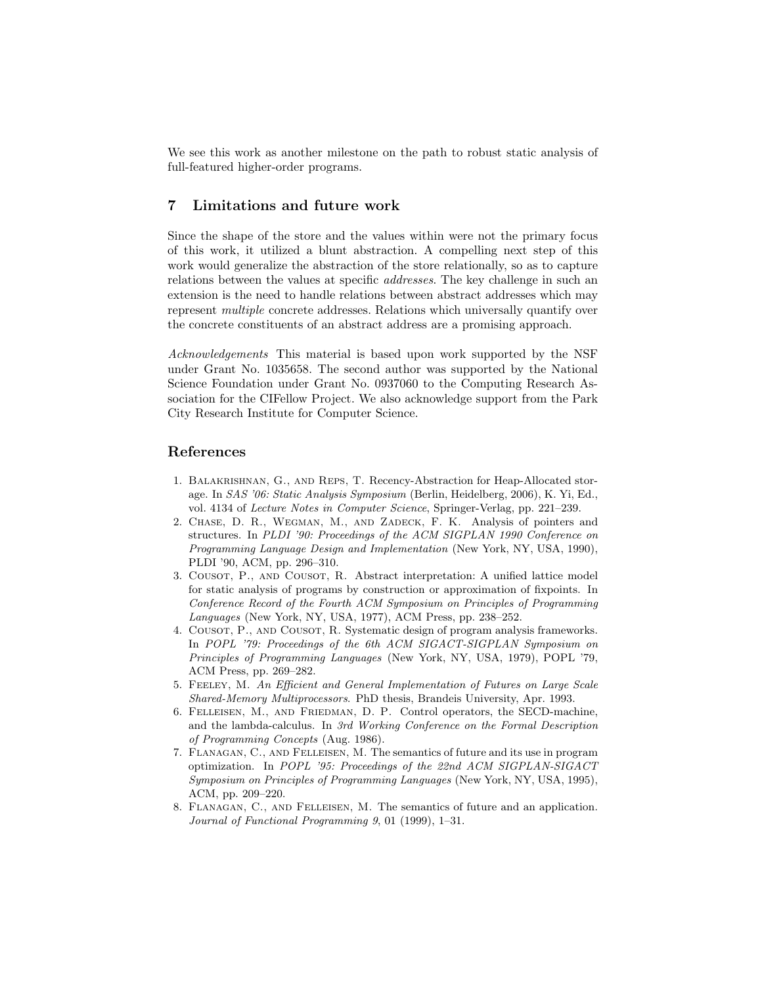We see this work as another milestone on the path to robust static analysis of full-featured higher-order programs.

## 7 Limitations and future work

Since the shape of the store and the values within were not the primary focus of this work, it utilized a blunt abstraction. A compelling next step of this work would generalize the abstraction of the store relationally, so as to capture relations between the values at specific addresses. The key challenge in such an extension is the need to handle relations between abstract addresses which may represent multiple concrete addresses. Relations which universally quantify over the concrete constituents of an abstract address are a promising approach.

Acknowledgements This material is based upon work supported by the NSF under Grant No. 1035658. The second author was supported by the National Science Foundation under Grant No. 0937060 to the Computing Research Association for the CIFellow Project. We also acknowledge support from the Park City Research Institute for Computer Science.

### References

- <span id="page-15-3"></span>1. Balakrishnan, G., and Reps, T. Recency-Abstraction for Heap-Allocated storage. In SAS '06: Static Analysis Symposium (Berlin, Heidelberg, 2006), K. Yi, Ed., vol. 4134 of Lecture Notes in Computer Science, Springer-Verlag, pp. 221–239.
- <span id="page-15-4"></span>2. Chase, D. R., Wegman, M., and Zadeck, F. K. Analysis of pointers and structures. In PLDI '90: Proceedings of the ACM SIGPLAN 1990 Conference on Programming Language Design and Implementation (New York, NY, USA, 1990), PLDI '90, ACM, pp. 296–310.
- <span id="page-15-5"></span>3. Cousot, P., and Cousot, R. Abstract interpretation: A unified lattice model for static analysis of programs by construction or approximation of fixpoints. In Conference Record of the Fourth ACM Symposium on Principles of Programming Languages (New York, NY, USA, 1977), ACM Press, pp. 238–252.
- <span id="page-15-2"></span>4. Cousot, P., and Cousot, R. Systematic design of program analysis frameworks. In POPL '79: Proceedings of the 6th ACM SIGACT-SIGPLAN Symposium on Principles of Programming Languages (New York, NY, USA, 1979), POPL '79, ACM Press, pp. 269–282.
- <span id="page-15-0"></span>5. Feeley, M. An Efficient and General Implementation of Futures on Large Scale Shared-Memory Multiprocessors. PhD thesis, Brandeis University, Apr. 1993.
- <span id="page-15-1"></span>6. Felleisen, M., and Friedman, D. P. Control operators, the SECD-machine, and the lambda-calculus. In 3rd Working Conference on the Formal Description of Programming Concepts (Aug. 1986).
- <span id="page-15-6"></span>7. Flanagan, C., and Felleisen, M. The semantics of future and its use in program optimization. In POPL '95: Proceedings of the 22nd ACM SIGPLAN-SIGACT Symposium on Principles of Programming Languages (New York, NY, USA, 1995), ACM, pp. 209–220.
- <span id="page-15-7"></span>8. Flanagan, C., and Felleisen, M. The semantics of future and an application. Journal of Functional Programming 9, 01 (1999), 1–31.